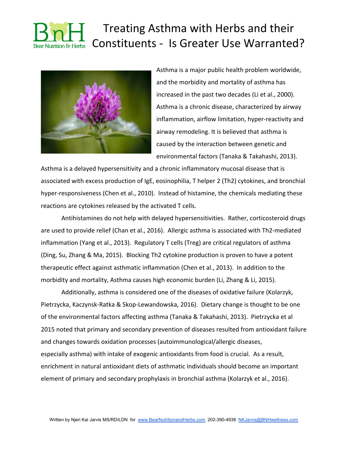

Asthma is a major public health problem worldwide, and the morbidity and mortality of asthma has increased in the past two decades (Li et al., 2000). Asthma is a chronic disease, characterized by airway inflammation, airflow limitation, hyper-reactivity and airway remodeling. It is believed that asthma is caused by the interaction between genetic and environmental factors (Tanaka & Takahashi, 2013).

Asthma is a delayed hypersensitivity and a chronic inflammatory mucosal disease that is associated with excess production of IgE, eosinophilia, T helper 2 (Th2) cytokines, and bronchial hyper-responsiveness (Chen et al., 2010). Instead of histamine, the chemicals mediating these reactions are cytokines released by the activated T cells.

Antihistamines do not help with delayed hypersensitivities. Rather, corticosteroid drugs are used to provide relief (Chan et al., 2016). Allergic asthma is associated with Th2-mediated inflammation (Yang et al., 2013). Regulatory T cells (Treg) are critical regulators of asthma (Ding, Su, Zhang & Ma, 2015). Blocking Th2 cytokine production is proven to have a potent therapeutic effect against asthmatic inflammation (Chen et al., 2013). In addition to the morbidity and mortality, Asthma causes high economic burden (Li, Zhang & Li, 2015).

Additionally, asthma is considered one of the diseases of oxidative failure (Kolarzyk, Pietrzycka, Kaczynsk-Ratka & Skop-Lewandowska, 2016). Dietary change is thought to be one of the environmental factors affecting asthma (Tanaka & Takahashi, 2013). Pietrzycka et al 2015 noted that primary and secondary prevention of diseases resulted from antioxidant failure and changes towards oxidation processes (autoimmunological/allergic diseases, especially asthma) with intake of exogenic antioxidants from food is crucial. As a result, enrichment in natural antioxidant diets of asthmatic individuals should become an important element of primary and secondary prophylaxis in bronchial asthma (Kolarzyk et al., 2016).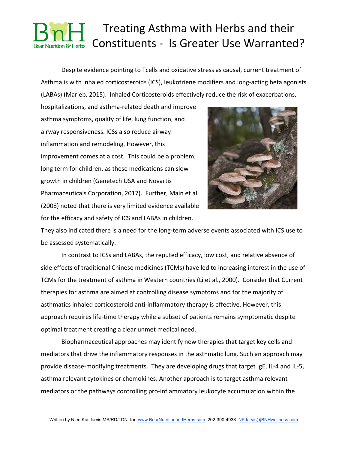Despite evidence pointing to Tcells and oxidative stress as causal, current treatment of Asthma is with inhaled corticosteroids (ICS), leukotriene modifiers and long-acting beta agonists (LABAs) (Marieb, 2015). Inhaled Corticosteroids effectively reduce the risk of exacerbations,

hospitalizations, and asthma-related death and improve asthma symptoms, quality of life, lung function, and airway responsiveness. ICSs also reduce airway inflammation and remodeling. However, this improvement comes at a cost. This could be a problem, long term for children, as these medications can slow growth in children (Genetech USA and Novartis Pharmaceuticals Corporation, 2017). Further, Main et al. (2008) noted that there is very limited evidence available for the efficacy and safety of ICS and LABAs in children.



They also indicated there is a need for the long-term adverse events associated with ICS use to be assessed systematically.

In contrast to ICSs and LABAs, the reputed efficacy, low cost, and relative absence of side effects of traditional Chinese medicines (TCMs) have led to increasing interest in the use of TCMs for the treatment of asthma in Western countries (Li et al., 2000). Consider that Current therapies for asthma are aimed at controlling disease symptoms and for the majority of asthmatics inhaled corticosteroid anti-inflammatory therapy is effective. However, this approach requires life-time therapy while a subset of patients remains symptomatic despite optimal treatment creating a clear unmet medical need.

Biopharmaceutical approaches may identify new therapies that target key cells and mediators that drive the inflammatory responses in the asthmatic lung. Such an approach may provide disease-modifying treatments. They are developing drugs that target IgE, IL-4 and IL-5, asthma relevant cytokines or chemokines. Another approach is to target asthma relevant mediators or the pathways controlling pro-inflammatory leukocyte accumulation within the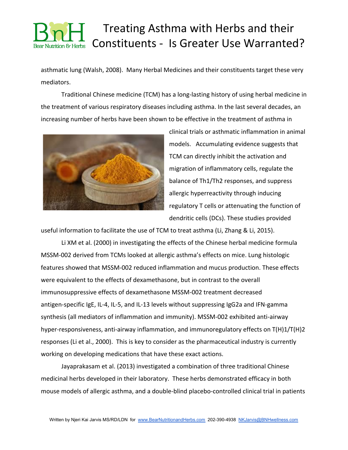asthmatic lung (Walsh, 2008). Many Herbal Medicines and their constituents target these very mediators.

Traditional Chinese medicine (TCM) has a long-lasting history of using herbal medicine in the treatment of various respiratory diseases including asthma. In the last several decades, an increasing number of herbs have been shown to be effective in the treatment of asthma in



clinical trials or asthmatic inflammation in animal models. Accumulating evidence suggests that TCM can directly inhibit the activation and migration of inflammatory cells, regulate the balance of Th1/Th2 responses, and suppress allergic hyperreactivity through inducing regulatory T cells or attenuating the function of dendritic cells (DCs). These studies provided

useful information to facilitate the use of TCM to treat asthma (Li, Zhang & Li, 2015).

Li XM et al. (2000) in investigating the effects of the Chinese herbal medicine formula MSSM-002 derived from TCMs looked at allergic asthma's effects on mice. Lung histologic features showed that MSSM-002 reduced inflammation and mucus production. These effects were equivalent to the effects of dexamethasone, but in contrast to the overall immunosuppressive effects of dexamethasone MSSM-002 treatment decreased antigen-specific IgE, IL-4, IL-5, and IL-13 levels without suppressing IgG2a and IFN-gamma synthesis (all mediators of inflammation and immunity). MSSM-002 exhibited anti-airway hyper-responsiveness, anti-airway inflammation, and immunoregulatory effects on T(H)1/T(H)2 responses (Li et al., 2000). This is key to consider as the pharmaceutical industry is currently working on developing medications that have these exact actions.

Jayaprakasam et al. (2013) investigated a combination of three traditional Chinese medicinal herbs developed in their laboratory. These herbs demonstrated efficacy in both mouse models of allergic asthma, and a double-blind placebo-controlled clinical trial in patients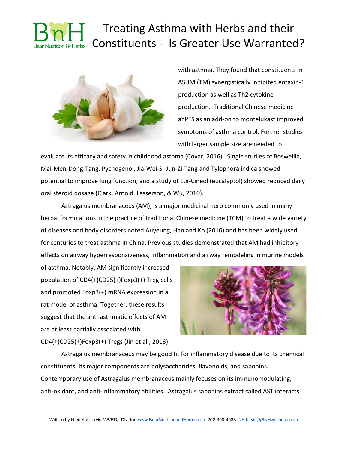

with asthma. They found that constituents in ASHMI(TM) synergistically inhibited eotaxin-1 production as well as Th2 cytokine production. Traditional Chinese medicine aYPFS as an add-on to montelukast improved symptoms of asthma control. Further studies with larger sample size are needed to

evaluate its efficacy and safety in childhood asthma (Covar, 2016). Single studies of Boswellia, Mai-Men-Dong-Tang, Pycnogenol, Jia-Wei-Si-Jun-Zi-Tang and Tylophora indica showed potential to improve lung function, and a study of 1.8-Cineol (eucalyptol) showed reduced daily oral steroid dosage (Clark, Arnold, Lasserson, & Wu, 2010).

Astragalus membranaceus (AM), is a major medicinal herb commonly used in many herbal formulations in the practice of traditional Chinese medicine (TCM) to treat a wide variety of diseases and body disorders noted Auyeung, Han and Ko (2016) and has been widely used for centuries to treat asthma in China. Previous studies demonstrated that AM had inhibitory effects on airway hyperresponsiveness, inflammation and airway remodeling in murine models

of asthma. Notably, AM significantly increased population of CD4(+)CD25(+)Foxp3(+) Treg cells and promoted Foxp3(+) mRNA expression in a rat model of asthma. Together, these results suggest that the anti-asthmatic effects of AM are at least partially associated with CD4(+)CD25(+)Foxp3(+) Tregs (Jin et al., 2013).



Astragalus membranaceus may be good fit for inflammatory disease due to its chemical constituents. Its major components are polysaccharides, flavonoids, and saponins. Contemporary use of Astragalus membranaceus mainly focuses on its immunomodulating, anti-oxidant, and anti-inflammatory abilities. Astragalus saponins extract called AST interacts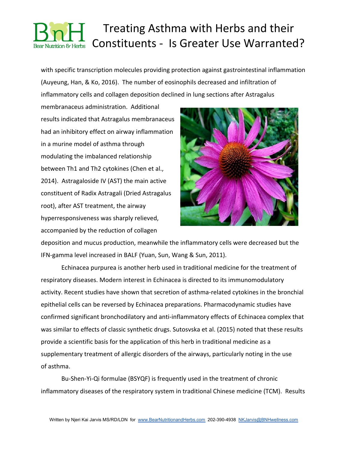with specific transcription molecules providing protection against gastrointestinal inflammation (Auyeung, Han, & Ko, 2016). The number of eosinophils decreased and infiltration of inflammatory cells and collagen deposition declined in lung sections after Astragalus

membranaceus administration. Additional results indicated that Astragalus membranaceus had an inhibitory effect on airway inflammation in a murine model of asthma through modulating the imbalanced relationship between Th1 and Th2 cytokines (Chen et al., 2014). Astragaloside IV (AST) the main active constituent of Radix Astragali (Dried Astragalus root), after AST treatment, the airway hyperresponsiveness was sharply relieved, accompanied by the reduction of collagen



deposition and mucus production, meanwhile the inflammatory cells were decreased but the IFN-gamma level increased in BALF [\(Yuan,](https://www.ncbi.nlm.nih.gov/pubmed/?term=Yuan%20X%5BAuthor%5D&cauthor=true&cauthor_uid=20945275) [Sun](https://www.ncbi.nlm.nih.gov/pubmed/?term=Sun%20S%5BAuthor%5D&cauthor=true&cauthor_uid=20945275), [Wang](https://www.ncbi.nlm.nih.gov/pubmed/?term=Wang%20S%5BAuthor%5D&cauthor=true&cauthor_uid=20945275) & [Sun](https://www.ncbi.nlm.nih.gov/pubmed/?term=Sun%20Y%5BAuthor%5D&cauthor=true&cauthor_uid=20945275), 2011).

Echinacea purpurea is another herb used in traditional medicine for the treatment of respiratory diseases. Modern interest in Echinacea is directed to its immunomodulatory activity. Recent studies have shown that secretion of asthma-related cytokines in the bronchial epithelial cells can be reversed by Echinacea preparations. Pharmacodynamic studies have confirmed significant bronchodilatory and anti-inflammatory effects of Echinacea complex that was similar to effects of classic synthetic drugs. Sutosvska et al. (2015) noted that these results provide a scientific basis for the application of this herb in traditional medicine as a supplementary treatment of allergic disorders of the airways, particularly noting in the use of asthma.

Bu-Shen-Yi-Qi formulae (BSYQF) is frequently used in the treatment of chronic inflammatory diseases of the respiratory system in traditional Chinese medicine (TCM). Results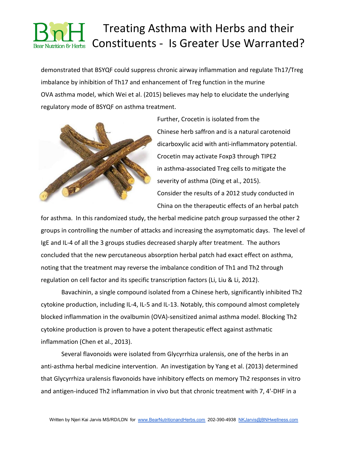demonstrated that BSYQF could suppress chronic airway inflammation and regulate Th17/Treg imbalance by inhibition of Th17 and enhancement of Treg function in the murine OVA asthma model, which Wei et al. (2015) believes may help to elucidate the underlying regulatory mode of BSYQF on asthma treatment.



Further, Crocetin is isolated from the Chinese herb saffron and is a natural carotenoid dicarboxylic acid with anti-inflammatory potential. Crocetin may activate Foxp3 through TIPE2 in asthma-associated Treg cells to mitigate the severity of asthma (Ding et al., 2015). Consider the results of a 2012 study conducted in China on the therapeutic effects of an herbal patch

for asthma. In this randomized study, the herbal medicine patch group surpassed the other 2 groups in controlling the number of attacks and increasing the asymptomatic days. The level of IgE and IL-4 of all the 3 groups studies decreased sharply after treatment. The authors concluded that the new percutaneous absorption herbal patch had exact effect on asthma, noting that the treatment may reverse the imbalance condition of Th1 and Th2 through regulation on cell factor and its specific transcription factors (Li, Liu & Li, 2012).

Bavachinin, a single compound isolated from a Chinese herb, significantly inhibited Th2 cytokine production, including IL-4, IL-5 and IL-13. Notably, this compound almost completely blocked inflammation in the ovalbumin (OVA)-sensitized animal asthma model. Blocking Th2 cytokine production is proven to have a potent therapeutic effect against asthmatic inflammation (Chen et al., 2013).

Several flavonoids were isolated from Glycyrrhiza uralensis, one of the herbs in an anti-asthma herbal medicine intervention. An investigation by Yang et al. (2013) determined that Glycyrrhiza uralensis flavonoids have inhibitory effects on memory Th2 responses in vitro and antigen-induced Th2 inflammation in vivo but that chronic treatment with 7, 4'-DHF in a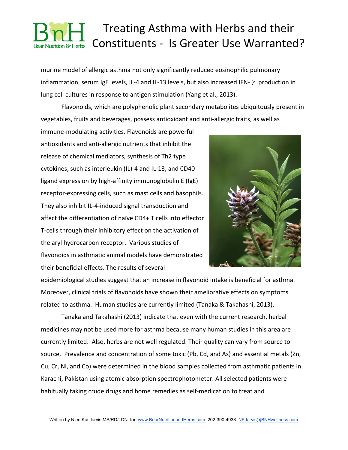murine model of allergic asthma not only significantly reduced eosinophilic pulmonary inflammation, serum IgE levels, IL-4 and IL-13 levels, but also increased IFN- $\gamma$  production in lung cell cultures in response to antigen stimulation (Yang et al., 2013).

Flavonoids, which are polyphenolic plant secondary metabolites ubiquitously present in vegetables, fruits and beverages, possess antioxidant and anti-allergic traits, as well as

immune-modulating activities. Flavonoids are powerful antioxidants and anti-allergic nutrients that inhibit the release of chemical mediators, synthesis of Th2 type cytokines, such as interleukin (IL)-4 and IL-13, and CD40 ligand expression by high-affinity immunoglobulin E (IgE) receptor-expressing cells, such as mast cells and basophils. They also inhibit IL-4-induced signal transduction and affect the differentiation of naïve CD4+ T cells into effector T-cells through their inhibitory effect on the activation of the aryl hydrocarbon receptor. Various studies of flavonoids in asthmatic animal models have demonstrated their beneficial effects. The results of several



epidemiological studies suggest that an increase in flavonoid intake is beneficial for asthma. Moreover, clinical trials of flavonoids have shown their ameliorative effects on symptoms related to asthma. Human studies are currently limited (Tanaka & Takahashi, 2013).

Tanaka and Takahashi (2013) indicate that even with the current research, herbal medicines may not be used more for asthma because many human studies in this area are currently limited. Also, herbs are not well regulated. Their quality can vary from source to source. Prevalence and concentration of some toxic (Pb, Cd, and As) and essential metals (Zn, Cu, Cr, Ni, and Co) were determined in the blood samples collected from asthmatic patients in Karachi, Pakistan using atomic absorption spectrophotometer. All selected patients were habitually taking crude drugs and home remedies as self-medication to treat and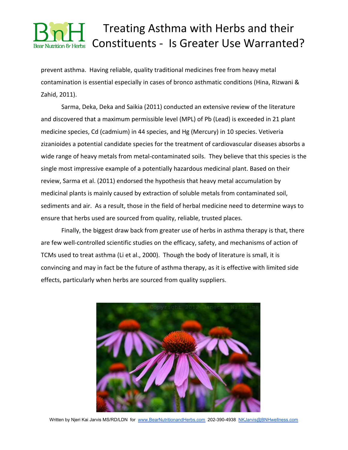prevent asthma. Having reliable, quality traditional medicines free from heavy metal contamination is essential especially in cases of bronco asthmatic conditions (Hina, Rizwani & Zahid, 2011).

Sarma, Deka, Deka and Saikia (2011) conducted an extensive review of the literature and discovered that a maximum permissible level (MPL) of Pb (Lead) is exceeded in 21 plant medicine species, Cd (cadmium) in 44 species, and Hg (Mercury) in 10 species. Vetiveria zizanioides a potential candidate species for the treatment of cardiovascular diseases absorbs a wide range of heavy metals from metal-contaminated soils. They believe that this species is the single most impressive example of a potentially hazardous medicinal plant. Based on their review, Sarma et al. (2011) endorsed the hypothesis that heavy metal accumulation by medicinal plants is mainly caused by extraction of soluble metals from contaminated soil, sediments and air. As a result, those in the field of herbal medicine need to determine ways to ensure that herbs used are sourced from quality, reliable, trusted places.

Finally, the biggest draw back from greater use of herbs in asthma therapy is that, there are few well-controlled scientific studies on the efficacy, safety, and mechanisms of action of TCMs used to treat asthma (Li et al., 2000). Though the body of literature is small, it is convincing and may in fact be the future of asthma therapy, as it is effective with limited side effects, particularly when herbs are sourced from quality suppliers.

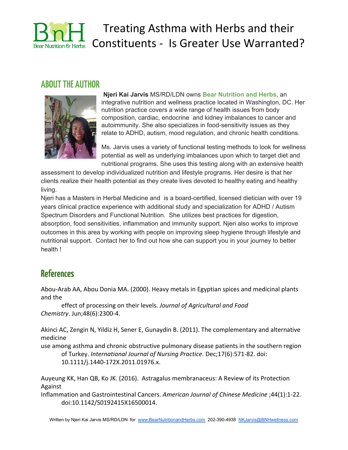

# Treating Asthma with Herbs and their Constituents - Is Greater Use Warranted?

#### **ABOUTTHE AUTHOR**



**Njeri Kai Jarvis** MS/RD/LDN owns **Bear Nutrition and Herbs**, an integrative nutrition and wellness practice located in Washington, DC. Her nutrition practice covers a wide range of health issues from body composition, cardiac, endocrine and kidney imbalances to cancer and autoimmunity. She also specializes in food-sensitivity issues as they relate to ADHD, autism, mood regulation, and chronic health conditions.

Ms. Jarvis uses a variety of functional testing methods to look for wellness potential as well as underlying imbalances upon which to target diet and nutritional programs. She uses this testing along with an extensive health

assessment to develop individualized nutrition and lifestyle programs. Her desire is that her clients realize their health potential as they create lives devoted to healthy eating and healthy living.

Njeri has a Masters in Herbal Medicine and is a board-certified, licensed dietician with over 19 years clinical practice experience with additional study and specialization for ADHD / Autism Spectrum Disorders and Functional Nutrition. She utilizes best practices for digestion, absorption, food sensitivities, inflammation and immunity support. Njeri also works to improve outcomes in this area by working with people on improving sleep hygiene through lifestyle and nutritional support. Contact her to find out how she can support you in your journey to better health !

### **References**

[Abou-Arab AA](https://www.ncbi.nlm.nih.gov/pubmed/?term=Abou-Arab%20AA%5BAuthor%5D&cauthor=true&cauthor_uid=10888541), [Abou Donia MA](https://www.ncbi.nlm.nih.gov/pubmed/?term=Abou%20Donia%20MA%5BAuthor%5D&cauthor=true&cauthor_uid=10888541). (2000). Heavy metals in Egyptian spices and medicinal plants and the

effect of processing on their levels. *[Journal of Agricultural and Food](https://www.ncbi.nlm.nih.gov/pubmed/10888541) [Chemistry](https://www.ncbi.nlm.nih.gov/pubmed/10888541)*[.](https://www.ncbi.nlm.nih.gov/pubmed/10888541) Jun;48(6):2300-4.

[Akinci AC](https://www.ncbi.nlm.nih.gov/pubmed/?term=Akinci%20AC%5BAuthor%5D&cauthor=true&cauthor_uid=22103823), [Zengin N](https://www.ncbi.nlm.nih.gov/pubmed/?term=Zengin%20N%5BAuthor%5D&cauthor=true&cauthor_uid=22103823), [Yildiz H](https://www.ncbi.nlm.nih.gov/pubmed/?term=Yildiz%20H%5BAuthor%5D&cauthor=true&cauthor_uid=22103823), [Sener E,](https://www.ncbi.nlm.nih.gov/pubmed/?term=Sener%20E%5BAuthor%5D&cauthor=true&cauthor_uid=22103823) [Gunaydin B](https://www.ncbi.nlm.nih.gov/pubmed/?term=Gunaydin%20B%5BAuthor%5D&cauthor=true&cauthor_uid=22103823). (2011). The complementary and alternative medicine

use among asthma and chronic obstructive pulmonary disease patients in the southern region of Turkey. *[International Journal of Nursing Practice](https://www.ncbi.nlm.nih.gov/pubmed/22103823)*[.](https://www.ncbi.nlm.nih.gov/pubmed/22103823) Dec;17(6):571-82. doi: 10.1111/j.1440-172X.2011.01976.x.

[Auyeung KK](https://www.ncbi.nlm.nih.gov/pubmed/?term=Auyeung%20KK%5BAuthor%5D&cauthor=true&cauthor_uid=26916911), [Han QB](https://www.ncbi.nlm.nih.gov/pubmed/?term=Han%20QB%5BAuthor%5D&cauthor=true&cauthor_uid=26916911), [Ko JK](https://www.ncbi.nlm.nih.gov/pubmed/?term=Ko%20JK%5BAuthor%5D&cauthor=true&cauthor_uid=26916911)[.](https://www.ncbi.nlm.nih.gov/pubmed/26916911) (2016). Astragalus membranaceus: A Review of its Protection Against

Inflammation and Gastrointestinal Cancers. *American Journal of Chinese Medicine* ;44(1):1-22. doi:10.1142/S0192415X16500014.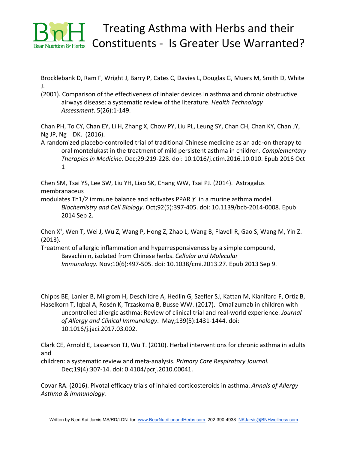

[Brocklebank D](https://www.ncbi.nlm.nih.gov/pubmed/?term=Brocklebank%20D%5BAuthor%5D&cauthor=true&cauthor_uid=11701099), [Ram F,](https://www.ncbi.nlm.nih.gov/pubmed/?term=Ram%20F%5BAuthor%5D&cauthor=true&cauthor_uid=11701099) [Wright J,](https://www.ncbi.nlm.nih.gov/pubmed/?term=Wright%20J%5BAuthor%5D&cauthor=true&cauthor_uid=11701099) [Barry P,](https://www.ncbi.nlm.nih.gov/pubmed/?term=Barry%20P%5BAuthor%5D&cauthor=true&cauthor_uid=11701099) [Cates C](https://www.ncbi.nlm.nih.gov/pubmed/?term=Cates%20C%5BAuthor%5D&cauthor=true&cauthor_uid=11701099), [Davies L,](https://www.ncbi.nlm.nih.gov/pubmed/?term=Davies%20L%5BAuthor%5D&cauthor=true&cauthor_uid=11701099) [Douglas G](https://www.ncbi.nlm.nih.gov/pubmed/?term=Douglas%20G%5BAuthor%5D&cauthor=true&cauthor_uid=11701099), [Muers M,](https://www.ncbi.nlm.nih.gov/pubmed/?term=Muers%20M%5BAuthor%5D&cauthor=true&cauthor_uid=11701099) [Smith D](https://www.ncbi.nlm.nih.gov/pubmed/?term=Smith%20D%5BAuthor%5D&cauthor=true&cauthor_uid=11701099), [White](https://www.ncbi.nlm.nih.gov/pubmed/?term=White%20J%5BAuthor%5D&cauthor=true&cauthor_uid=11701099) [J.](https://www.ncbi.nlm.nih.gov/pubmed/?term=White%20J%5BAuthor%5D&cauthor=true&cauthor_uid=11701099)

(2001). Comparison of the effectiveness of inhaler devices in asthma and chronic obstructive airways disease: a systematic review of the literature. *[Health Technology](https://www.ncbi.nlm.nih.gov/pubmed/11701099) [Assessment](https://www.ncbi.nlm.nih.gov/pubmed/11701099)*[.](https://www.ncbi.nlm.nih.gov/pubmed/11701099) 5(26):1-149.

[Chan PH](https://www.ncbi.nlm.nih.gov/pubmed/?term=Chan%20PH%5BAuthor%5D&cauthor=true&cauthor_uid=27912950), [To CY,](https://www.ncbi.nlm.nih.gov/pubmed/?term=To%20CY%5BAuthor%5D&cauthor=true&cauthor_uid=27912950) [Chan EY](https://www.ncbi.nlm.nih.gov/pubmed/?term=Chan%20EY%5BAuthor%5D&cauthor=true&cauthor_uid=27912950), [Li H](https://www.ncbi.nlm.nih.gov/pubmed/?term=Li%20H%5BAuthor%5D&cauthor=true&cauthor_uid=27912950), [Zhang X,](https://www.ncbi.nlm.nih.gov/pubmed/?term=Zhang%20X%5BAuthor%5D&cauthor=true&cauthor_uid=27912950) [Chow PY,](https://www.ncbi.nlm.nih.gov/pubmed/?term=Chow%20PY%5BAuthor%5D&cauthor=true&cauthor_uid=27912950) [Liu PL](https://www.ncbi.nlm.nih.gov/pubmed/?term=Liu%20PL%5BAuthor%5D&cauthor=true&cauthor_uid=27912950), [Leung SY,](https://www.ncbi.nlm.nih.gov/pubmed/?term=Leung%20SY%5BAuthor%5D&cauthor=true&cauthor_uid=27912950) [Chan CH](https://www.ncbi.nlm.nih.gov/pubmed/?term=Chan%20CH%5BAuthor%5D&cauthor=true&cauthor_uid=27912950), [Chan KY](https://www.ncbi.nlm.nih.gov/pubmed/?term=Chan%20KY%5BAuthor%5D&cauthor=true&cauthor_uid=27912950), [Chan JY,](https://www.ncbi.nlm.nih.gov/pubmed/?term=Chan%20JY%5BAuthor%5D&cauthor=true&cauthor_uid=27912950) [Ng JP](https://www.ncbi.nlm.nih.gov/pubmed/?term=Ng%20JP%5BAuthor%5D&cauthor=true&cauthor_uid=27912950), [Ng DK.](https://www.ncbi.nlm.nih.gov/pubmed/?term=Ng%20DK%5BAuthor%5D&cauthor=true&cauthor_uid=27912950) (2016).

A randomized placebo-controlled trial of traditional Chinese medicine as an add-on therapy to oral montelukast in the treatment of mild persistent asthma in children. *[Complementary](https://www.ncbi.nlm.nih.gov/pubmed/27912950) [Therapies in Medicine](https://www.ncbi.nlm.nih.gov/pubmed/27912950)*[.](https://www.ncbi.nlm.nih.gov/pubmed/27912950) Dec;29:219-228. doi: 10.1016/j.ctim.2016.10.010. Epub 2016 Oct 1

[Chen SM,](https://www.ncbi.nlm.nih.gov/pubmed/?term=Chen%20SM%5BAuthor%5D&cauthor=true&cauthor_uid=25264079) [Tsai YS](https://www.ncbi.nlm.nih.gov/pubmed/?term=Tsai%20YS%5BAuthor%5D&cauthor=true&cauthor_uid=25264079), [Lee SW,](https://www.ncbi.nlm.nih.gov/pubmed/?term=Lee%20SW%5BAuthor%5D&cauthor=true&cauthor_uid=25264079) [Liu YH,](https://www.ncbi.nlm.nih.gov/pubmed/?term=Liu%20YH%5BAuthor%5D&cauthor=true&cauthor_uid=25264079) [Liao SK,](https://www.ncbi.nlm.nih.gov/pubmed/?term=Liao%20SK%5BAuthor%5D&cauthor=true&cauthor_uid=25264079) [Chang WW,](https://www.ncbi.nlm.nih.gov/pubmed/?term=Chang%20WW%5BAuthor%5D&cauthor=true&cauthor_uid=25264079) [Tsai PJ.](https://www.ncbi.nlm.nih.gov/pubmed/?term=Tsai%20PJ%5BAuthor%5D&cauthor=true&cauthor_uid=25264079) (2014). Astragalus membranaceus

modulates Th1/2 immune balance and activates PPAR  $\gamma$  in a murine asthma model. *Biochemistry and Cell Biology*. Oct;92(5):397-405. doi: 10.1139/bcb-2014-0008. Epub 2014 Sep 2.

Chen  $X^1$ , [Wen T,](https://www.ncbi.nlm.nih.gov/pubmed/?term=Wen%20T%5BAuthor%5D&cauthor=true&cauthor_uid=24013845) [Wei J](https://www.ncbi.nlm.nih.gov/pubmed/?term=Wei%20J%5BAuthor%5D&cauthor=true&cauthor_uid=24013845), [Wu Z](https://www.ncbi.nlm.nih.gov/pubmed/?term=Wu%20Z%5BAuthor%5D&cauthor=true&cauthor_uid=24013845), [Wang P,](https://www.ncbi.nlm.nih.gov/pubmed/?term=Wang%20P%5BAuthor%5D&cauthor=true&cauthor_uid=24013845) [Hong Z](https://www.ncbi.nlm.nih.gov/pubmed/?term=Hong%20Z%5BAuthor%5D&cauthor=true&cauthor_uid=24013845), [Zhao L,](https://www.ncbi.nlm.nih.gov/pubmed/?term=Zhao%20L%5BAuthor%5D&cauthor=true&cauthor_uid=24013845) [Wang B](https://www.ncbi.nlm.nih.gov/pubmed/?term=Wang%20B%5BAuthor%5D&cauthor=true&cauthor_uid=24013845), [Flavell R,](https://www.ncbi.nlm.nih.gov/pubmed/?term=Flavell%20R%5BAuthor%5D&cauthor=true&cauthor_uid=24013845) [Gao S](https://www.ncbi.nlm.nih.gov/pubmed/?term=Gao%20S%5BAuthor%5D&cauthor=true&cauthor_uid=24013845), [Wang M,](https://www.ncbi.nlm.nih.gov/pubmed/?term=Wang%20M%5BAuthor%5D&cauthor=true&cauthor_uid=24013845) [Yin Z.](https://www.ncbi.nlm.nih.gov/pubmed/?term=Yin%20Z%5BAuthor%5D&cauthor=true&cauthor_uid=24013845) (2013).

Treatment of allergic inflammation and hyperresponsiveness by a simple compound, Bavachinin, isolated from Chinese herbs. *[Cellular and Molecular](https://www.ncbi.nlm.nih.gov/pubmed/24013845) [Immunology.](https://www.ncbi.nlm.nih.gov/pubmed/24013845)* Nov;10(6):497-505. doi: 10.1038/cmi.2013.27. Epub 2013 Sep 9.

[Chipps BE,](https://www.ncbi.nlm.nih.gov/pubmed/?term=Chipps%20BE%5BAuthor%5D&cauthor=true&cauthor_uid=28477722) [Lanier B,](https://www.ncbi.nlm.nih.gov/pubmed/?term=Lanier%20B%5BAuthor%5D&cauthor=true&cauthor_uid=28477722) [Milgrom H](https://www.ncbi.nlm.nih.gov/pubmed/?term=Milgrom%20H%5BAuthor%5D&cauthor=true&cauthor_uid=28477722), [Deschildre A,](https://www.ncbi.nlm.nih.gov/pubmed/?term=Deschildre%20A%5BAuthor%5D&cauthor=true&cauthor_uid=28477722) [Hedlin G,](https://www.ncbi.nlm.nih.gov/pubmed/?term=Hedlin%20G%5BAuthor%5D&cauthor=true&cauthor_uid=28477722) [Szefler SJ](https://www.ncbi.nlm.nih.gov/pubmed/?term=Szefler%20SJ%5BAuthor%5D&cauthor=true&cauthor_uid=28477722), [Kattan M,](https://www.ncbi.nlm.nih.gov/pubmed/?term=Kattan%20M%5BAuthor%5D&cauthor=true&cauthor_uid=28477722) [Kianifard F,](https://www.ncbi.nlm.nih.gov/pubmed/?term=Kianifard%20F%5BAuthor%5D&cauthor=true&cauthor_uid=28477722) [Ortiz B](https://www.ncbi.nlm.nih.gov/pubmed/?term=Ortiz%20B%5BAuthor%5D&cauthor=true&cauthor_uid=28477722), [Haselkorn T,](https://www.ncbi.nlm.nih.gov/pubmed/?term=Haselkorn%20T%5BAuthor%5D&cauthor=true&cauthor_uid=28477722) [Iqbal A,](https://www.ncbi.nlm.nih.gov/pubmed/?term=Iqbal%20A%5BAuthor%5D&cauthor=true&cauthor_uid=28477722) [Rosén K,](https://www.ncbi.nlm.nih.gov/pubmed/?term=Ros%C3%A9n%20K%5BAuthor%5D&cauthor=true&cauthor_uid=28477722) [Trzaskoma B](https://www.ncbi.nlm.nih.gov/pubmed/?term=Trzaskoma%20B%5BAuthor%5D&cauthor=true&cauthor_uid=28477722), [Busse WW.](https://www.ncbi.nlm.nih.gov/pubmed/?term=Busse%20WW%5BAuthor%5D&cauthor=true&cauthor_uid=28477722) (2017). Omalizumab in children with uncontrolled allergic asthma: Review of clinical trial and real-world experience. *[Journal](https://www.ncbi.nlm.nih.gov/pubmed/28477722) [of Allergy and Clinical Immunology](https://www.ncbi.nlm.nih.gov/pubmed/28477722)*[.](https://www.ncbi.nlm.nih.gov/pubmed/28477722) May;139(5):1431-1444. doi: 10.1016/j.jaci.2017.03.002.

[Clark CE,](https://www.ncbi.nlm.nih.gov/pubmed/?term=Clark%20CE%5BAuthor%5D&cauthor=true&cauthor_uid=20640388) [Arnold E](https://www.ncbi.nlm.nih.gov/pubmed/?term=Arnold%20E%5BAuthor%5D&cauthor=true&cauthor_uid=20640388), [Lasserson TJ](https://www.ncbi.nlm.nih.gov/pubmed/?term=Lasserson%20TJ%5BAuthor%5D&cauthor=true&cauthor_uid=20640388), [Wu T.](https://www.ncbi.nlm.nih.gov/pubmed/?term=Wu%20T%5BAuthor%5D&cauthor=true&cauthor_uid=20640388) [\(2](https://www.ncbi.nlm.nih.gov/pubmed/20640388)010). Herbal interventions for chronic asthma in adults and

children: a systematic review and meta-analysis. *Primary Care Respiratory Journal.* Dec;19(4):307-14. doi: 0.4104/pcrj.2010.00041.

[Covar RA](https://www.ncbi.nlm.nih.gov/pubmed/?term=Covar%20RA%5BAuthor%5D&cauthor=true&cauthor_uid=27979013). (2016). Pivotal efficacy trials of inhaled corticosteroids in asthma. *[Annals of Allergy](https://www.ncbi.nlm.nih.gov/pubmed/27979013) [Asthma & Immunology.](https://www.ncbi.nlm.nih.gov/pubmed/27979013)*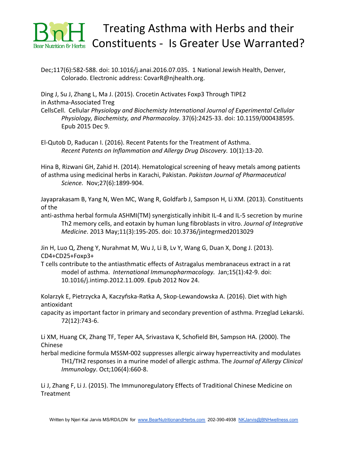

Dec;117(6):582-588. doi: 10.1016/j.anai.2016.07.035. 1 National Jewish Health, Denver, Colorado. Electronic address: CovarR@njhealth.org.

[Ding J](https://www.ncbi.nlm.nih.gov/pubmed/?term=Ding%20J%5BAuthor%5D&cauthor=true&cauthor_uid=26646898), [Su J](https://www.ncbi.nlm.nih.gov/pubmed/?term=Su%20J%5BAuthor%5D&cauthor=true&cauthor_uid=26646898), [Zhang L,](https://www.ncbi.nlm.nih.gov/pubmed/?term=Zhang%20L%5BAuthor%5D&cauthor=true&cauthor_uid=26646898) [Ma J](https://www.ncbi.nlm.nih.gov/pubmed/?term=Ma%20J%5BAuthor%5D&cauthor=true&cauthor_uid=26646898). (2015). Crocetin Activates Foxp3 Through TIPE2 in Asthma-Associated Treg

Cell[sCell. Cellular](https://www.ncbi.nlm.nih.gov/pubmed/26646898) *[Physiology and Biochemisty International Journal of Experimental Cellular](https://www.ncbi.nlm.nih.gov/pubmed/26646898) [Physiology, Biochemisty, and Pharmacoloy](https://www.ncbi.nlm.nih.gov/pubmed/26646898)*[.](https://www.ncbi.nlm.nih.gov/pubmed/26646898) 37(6):2425-33. doi: 10.1159/000438595. Epub 2015 Dec 9.

[El-Qutob D](https://www.ncbi.nlm.nih.gov/pubmed/?term=El-Qutob%20D%5BAuthor%5D&cauthor=true&cauthor_uid=27262358), [Raducan I](https://www.ncbi.nlm.nih.gov/pubmed/?term=Raducan%20I%5BAuthor%5D&cauthor=true&cauthor_uid=27262358). (2016). Recent Patents for the Treatment of Asthma. *[Recent Patents on Inflammation and Allergy Drug Discovery.](https://www.ncbi.nlm.nih.gov/pubmed/27262358)* 10(1):13-20.

[Hina B,](https://www.ncbi.nlm.nih.gov/pubmed/?term=Hina%20B%5BAuthor%5D&cauthor=true&cauthor_uid=25362613) [Rizwani GH](https://www.ncbi.nlm.nih.gov/pubmed/?term=Rizwani%20GH%5BAuthor%5D&cauthor=true&cauthor_uid=25362613), [Zahid H](https://www.ncbi.nlm.nih.gov/pubmed/?term=Zahid%20H%5BAuthor%5D&cauthor=true&cauthor_uid=25362613). (2014). Hematological screening of heavy metals among patients of asthma using medicinal herbs in Karachi, Pakistan. *[Pakistan Journal of Pharmaceutical](https://www.ncbi.nlm.nih.gov/pubmed/25362613) [Science.](https://www.ncbi.nlm.nih.gov/pubmed/25362613)* Nov;27(6):1899-904.

[Jayaprakasam B](https://www.ncbi.nlm.nih.gov/pubmed/?term=Jayaprakasam%20B%5BAuthor%5D&cauthor=true&cauthor_uid=23743163), [Yang N](https://www.ncbi.nlm.nih.gov/pubmed/?term=Yang%20N%5BAuthor%5D&cauthor=true&cauthor_uid=23743163), [Wen MC](https://www.ncbi.nlm.nih.gov/pubmed/?term=Wen%20MC%5BAuthor%5D&cauthor=true&cauthor_uid=23743163), [Wang R](https://www.ncbi.nlm.nih.gov/pubmed/?term=Wang%20R%5BAuthor%5D&cauthor=true&cauthor_uid=23743163), [Goldfarb J](https://www.ncbi.nlm.nih.gov/pubmed/?term=Goldfarb%20J%5BAuthor%5D&cauthor=true&cauthor_uid=23743163), [Sampson H,](https://www.ncbi.nlm.nih.gov/pubmed/?term=Sampson%20H%5BAuthor%5D&cauthor=true&cauthor_uid=23743163) [Li XM.](https://www.ncbi.nlm.nih.gov/pubmed/?term=Li%20XM%5BAuthor%5D&cauthor=true&cauthor_uid=23743163) (2013). Constituents of the

anti-asthma herbal formula ASHMI(TM) synergistically inhibit IL-4 and IL-5 secretion by murine Th2 memory cells, and eotaxin by human lung fibroblasts in vitro. *[Journal of Integrative](https://www.ncbi.nlm.nih.gov/pubmed/23743163) [Medicine](https://www.ncbi.nlm.nih.gov/pubmed/23743163)*[.](https://www.ncbi.nlm.nih.gov/pubmed/23743163) 2013 May;11(3):195-205. doi: 10.3736/jintegrmed2013029

[Jin H](https://www.ncbi.nlm.nih.gov/pubmed/?term=Jin%20H%5BAuthor%5D&cauthor=true&cauthor_uid=23186751), [Luo Q](https://www.ncbi.nlm.nih.gov/pubmed/?term=Luo%20Q%5BAuthor%5D&cauthor=true&cauthor_uid=23186751), [Zheng Y](https://www.ncbi.nlm.nih.gov/pubmed/?term=Zheng%20Y%5BAuthor%5D&cauthor=true&cauthor_uid=23186751), [Nurahmat M,](https://www.ncbi.nlm.nih.gov/pubmed/?term=Nurahmat%20M%5BAuthor%5D&cauthor=true&cauthor_uid=23186751) [Wu J,](https://www.ncbi.nlm.nih.gov/pubmed/?term=Wu%20J%5BAuthor%5D&cauthor=true&cauthor_uid=23186751) [Li B,](https://www.ncbi.nlm.nih.gov/pubmed/?term=Li%20B%5BAuthor%5D&cauthor=true&cauthor_uid=23186751) [Lv Y,](https://www.ncbi.nlm.nih.gov/pubmed/?term=Lv%20Y%5BAuthor%5D&cauthor=true&cauthor_uid=23186751) [Wang G,](https://www.ncbi.nlm.nih.gov/pubmed/?term=Wang%20G%5BAuthor%5D&cauthor=true&cauthor_uid=23186751) [Duan X,](https://www.ncbi.nlm.nih.gov/pubmed/?term=Duan%20X%5BAuthor%5D&cauthor=true&cauthor_uid=23186751) [Dong J](https://www.ncbi.nlm.nih.gov/pubmed/?term=Dong%20J%5BAuthor%5D&cauthor=true&cauthor_uid=23186751). (2013). CD4+CD25+Foxp3+

T cells contribute to the antiasthmatic effects of Astragalus membranaceus extract in a rat model of asthma. *[International Immunopharmacology.](https://www.ncbi.nlm.nih.gov/pubmed/23186751)* Jan;15(1):42-9. doi: 10.1016/j.intimp.2012.11.009. Epub 2012 Nov 24.

[Kolarzyk E,](https://www.ncbi.nlm.nih.gov/pubmed/?term=Kolarzyk%20E%5BAuthor%5D&cauthor=true&cauthor_uid=27024952) [Pietrzycka A,](https://www.ncbi.nlm.nih.gov/pubmed/?term=Pietrzycka%20A%5BAuthor%5D&cauthor=true&cauthor_uid=27024952) Kaczyń[ska-Ratka A](https://www.ncbi.nlm.nih.gov/pubmed/?term=Kaczy%C5%84ska-Ratka%20A%5BAuthor%5D&cauthor=true&cauthor_uid=27024952), [Skop-Lewandowska A.](https://www.ncbi.nlm.nih.gov/pubmed/?term=Skop-Lewandowska%20A%5BAuthor%5D&cauthor=true&cauthor_uid=27024952) (2016). Diet with high antioxidant

capacity as important factor in primary and secondary prevention of asthma. Przeglad Lekarski. 72(12):743-6.

[Li XM](https://www.ncbi.nlm.nih.gov/pubmed/?term=Li%20XM%5BAuthor%5D&cauthor=true&cauthor_uid=11031336), [Huang CK,](https://www.ncbi.nlm.nih.gov/pubmed/?term=Huang%20CK%5BAuthor%5D&cauthor=true&cauthor_uid=11031336) [Zhang TF,](https://www.ncbi.nlm.nih.gov/pubmed/?term=Zhang%20TF%5BAuthor%5D&cauthor=true&cauthor_uid=11031336) [Teper AA](https://www.ncbi.nlm.nih.gov/pubmed/?term=Teper%20AA%5BAuthor%5D&cauthor=true&cauthor_uid=11031336), [Srivastava K,](https://www.ncbi.nlm.nih.gov/pubmed/?term=Srivastava%20K%5BAuthor%5D&cauthor=true&cauthor_uid=11031336) [Schofield BH](https://www.ncbi.nlm.nih.gov/pubmed/?term=Schofield%20BH%5BAuthor%5D&cauthor=true&cauthor_uid=11031336), [Sampson HA.](https://www.ncbi.nlm.nih.gov/pubmed/?term=Sampson%20HA%5BAuthor%5D&cauthor=true&cauthor_uid=11031336) (2000). The Chinese

herbal medicine formula MSSM-002 suppresses allergic airway hyperreactivity and modulates TH1/TH2 responses in a murine model of allergic asthma. The *[Journal of Allergy Clinical](https://www.ncbi.nlm.nih.gov/pubmed/11031336) [Immunology](https://www.ncbi.nlm.nih.gov/pubmed/11031336)*[.](https://www.ncbi.nlm.nih.gov/pubmed/11031336) Oct;106(4):660-8.

[Li J](https://www.ncbi.nlm.nih.gov/pubmed/?term=Li%20J%5BAuthor%5D&cauthor=true&cauthor_uid=26364661), [Zhang F,](https://www.ncbi.nlm.nih.gov/pubmed/?term=Zhang%20F%5BAuthor%5D&cauthor=true&cauthor_uid=26364661) [Li J.](https://www.ncbi.nlm.nih.gov/pubmed/?term=Li%20J%5BAuthor%5D&cauthor=true&cauthor_uid=26364661) (2015). The Immunoregulatory Effects of Traditional Chinese Medicine on **Treatment**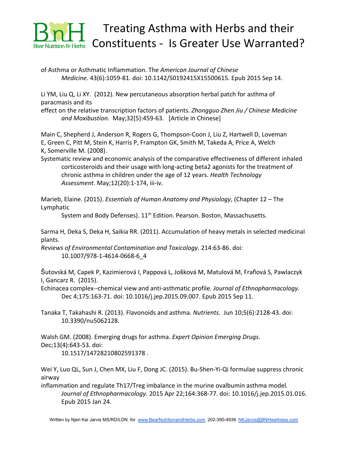

of Asthma or Asthmatic Inflammation. The *[American Journal of Chinese](https://www.ncbi.nlm.nih.gov/pubmed/26364661) [Medicine.](https://www.ncbi.nlm.nih.gov/pubmed/26364661)* 43(6):1059-81. doi: 10.1142/S0192415X15500615. Epub 2015 Sep 14.

[Li YM](https://www.ncbi.nlm.nih.gov/pubmed/?term=Li%20YM%5BAuthor%5D&cauthor=true&cauthor_uid=22650140), [Liu Q](https://www.ncbi.nlm.nih.gov/pubmed/?term=Liu%20Q%5BAuthor%5D&cauthor=true&cauthor_uid=22650140), [Li XY.](https://www.ncbi.nlm.nih.gov/pubmed/?term=Li%20XY%5BAuthor%5D&cauthor=true&cauthor_uid=22650140) (2012). New percutaneous absorption herbal patch for asthma of paracmasis and its

effect on the relative transcription factors of patients. *[Zhongguo Zhen Jiu / Chinese Medicine](https://www.ncbi.nlm.nih.gov/pubmed/22650140) [and Moxibustion.](https://www.ncbi.nlm.nih.gov/pubmed/22650140)* May;32(5):459-63. [Article in Chinese]

[Main C](https://www.ncbi.nlm.nih.gov/pubmed/?term=Main%20C%5BAuthor%5D&cauthor=true&cauthor_uid=18485272), [Shepherd J](https://www.ncbi.nlm.nih.gov/pubmed/?term=Shepherd%20J%5BAuthor%5D&cauthor=true&cauthor_uid=18485272), [Anderson R](https://www.ncbi.nlm.nih.gov/pubmed/?term=Anderson%20R%5BAuthor%5D&cauthor=true&cauthor_uid=18485272), [Rogers G,](https://www.ncbi.nlm.nih.gov/pubmed/?term=Rogers%20G%5BAuthor%5D&cauthor=true&cauthor_uid=18485272) [Thompson-Coon J,](https://www.ncbi.nlm.nih.gov/pubmed/?term=Thompson-Coon%20J%5BAuthor%5D&cauthor=true&cauthor_uid=18485272) [Liu Z,](https://www.ncbi.nlm.nih.gov/pubmed/?term=Liu%20Z%5BAuthor%5D&cauthor=true&cauthor_uid=18485272) [Hartwell D,](https://www.ncbi.nlm.nih.gov/pubmed/?term=Hartwell%20D%5BAuthor%5D&cauthor=true&cauthor_uid=18485272) [Loveman](https://www.ncbi.nlm.nih.gov/pubmed/?term=Loveman%20E%5BAuthor%5D&cauthor=true&cauthor_uid=18485272) [E,](https://www.ncbi.nlm.nih.gov/pubmed/?term=Loveman%20E%5BAuthor%5D&cauthor=true&cauthor_uid=18485272) [Green C,](https://www.ncbi.nlm.nih.gov/pubmed/?term=Green%20C%5BAuthor%5D&cauthor=true&cauthor_uid=18485272) [Pitt M](https://www.ncbi.nlm.nih.gov/pubmed/?term=Pitt%20M%5BAuthor%5D&cauthor=true&cauthor_uid=18485272), [Stein K](https://www.ncbi.nlm.nih.gov/pubmed/?term=Stein%20K%5BAuthor%5D&cauthor=true&cauthor_uid=18485272), [Harris P,](https://www.ncbi.nlm.nih.gov/pubmed/?term=Harris%20P%5BAuthor%5D&cauthor=true&cauthor_uid=18485272) [Frampton GK](https://www.ncbi.nlm.nih.gov/pubmed/?term=Frampton%20GK%5BAuthor%5D&cauthor=true&cauthor_uid=18485272), [Smith M](https://www.ncbi.nlm.nih.gov/pubmed/?term=Smith%20M%5BAuthor%5D&cauthor=true&cauthor_uid=18485272), [Takeda A,](https://www.ncbi.nlm.nih.gov/pubmed/?term=Takeda%20A%5BAuthor%5D&cauthor=true&cauthor_uid=18485272) [Price A](https://www.ncbi.nlm.nih.gov/pubmed/?term=Price%20A%5BAuthor%5D&cauthor=true&cauthor_uid=18485272), [Welch](https://www.ncbi.nlm.nih.gov/pubmed/?term=Welch%20K%5BAuthor%5D&cauthor=true&cauthor_uid=18485272) [K](https://www.ncbi.nlm.nih.gov/pubmed/?term=Welch%20K%5BAuthor%5D&cauthor=true&cauthor_uid=18485272), [Somerville M](https://www.ncbi.nlm.nih.gov/pubmed/?term=Somerville%20M%5BAuthor%5D&cauthor=true&cauthor_uid=18485272). (2008).

Systematic review and economic analysis of the comparative effectiveness of different inhaled corticosteroids and their usage with long-acting beta2 agonists for the treatment of chronic asthma in children under the age of 12 years. *[Health Technology](https://www.ncbi.nlm.nih.gov/pubmed/18485272) [Assessment](https://www.ncbi.nlm.nih.gov/pubmed/18485272)*[.](https://www.ncbi.nlm.nih.gov/pubmed/18485272) May;12(20):1-174, iii-iv.

Marieb, Elaine. (2015). *Essentials of Human Anatomy and Physiology*, (Chapter 12 – The Lymphatic

System and Body Defenses).  $11<sup>th</sup>$  Edition. Pearson. Boston, Massachusetts.

[Sarma H,](https://www.ncbi.nlm.nih.gov/pubmed/?term=Sarma%20H%5BAuthor%5D&cauthor=true&cauthor_uid=21913125) [Deka S,](https://www.ncbi.nlm.nih.gov/pubmed/?term=Deka%20S%5BAuthor%5D&cauthor=true&cauthor_uid=21913125) [Deka H,](https://www.ncbi.nlm.nih.gov/pubmed/?term=Deka%20H%5BAuthor%5D&cauthor=true&cauthor_uid=21913125) [Saikia RR.](https://www.ncbi.nlm.nih.gov/pubmed/?term=Saikia%20RR%5BAuthor%5D&cauthor=true&cauthor_uid=21913125) (2011). Accumulation of heavy metals in selected medicinal plants.

*[Reviews of Environmental Contamination and Toxicology](https://www.ncbi.nlm.nih.gov/pubmed/21913125)*[.](https://www.ncbi.nlm.nih.gov/pubmed/21913125) 214:63-86. doi: 10.1007/978-1-4614-0668-6\_4

Š[utovská M](https://www.ncbi.nlm.nih.gov/pubmed/?term=%C5%A0utovsk%C3%A1%20M%5BAuthor%5D&cauthor=true&cauthor_uid=26364938), [Capek P,](https://www.ncbi.nlm.nih.gov/pubmed/?term=Capek%20P%5BAuthor%5D&cauthor=true&cauthor_uid=26364938) [Kazimierová I,](https://www.ncbi.nlm.nih.gov/pubmed/?term=Kazimierov%C3%A1%20I%5BAuthor%5D&cauthor=true&cauthor_uid=26364938) [Pappová L,](https://www.ncbi.nlm.nih.gov/pubmed/?term=Pappov%C3%A1%20L%5BAuthor%5D&cauthor=true&cauthor_uid=26364938) Još[ková M](https://www.ncbi.nlm.nih.gov/pubmed/?term=Jo%C5%A1kov%C3%A1%20M%5BAuthor%5D&cauthor=true&cauthor_uid=26364938), [Matulová M,](https://www.ncbi.nlm.nih.gov/pubmed/?term=Matulov%C3%A1%20M%5BAuthor%5D&cauthor=true&cauthor_uid=26364938) Fraň[ová S,](https://www.ncbi.nlm.nih.gov/pubmed/?term=Fra%C5%88ov%C3%A1%20S%5BAuthor%5D&cauthor=true&cauthor_uid=26364938) [Pawlaczyk](https://www.ncbi.nlm.nih.gov/pubmed/?term=Pawlaczyk%20I%5BAuthor%5D&cauthor=true&cauthor_uid=26364938) [I](https://www.ncbi.nlm.nih.gov/pubmed/?term=Pawlaczyk%20I%5BAuthor%5D&cauthor=true&cauthor_uid=26364938), [Gancarz R](https://www.ncbi.nlm.nih.gov/pubmed/?term=Gancarz%20R%5BAuthor%5D&cauthor=true&cauthor_uid=26364938). (2015).

Echinacea complex--chemical view and anti-asthmatic profile*. [Journal of Ethnopharmacology.](https://www.ncbi.nlm.nih.gov/pubmed/26364938)* Dec 4;175:163-71. doi: 10.1016/j.jep.2015.09.007. Epub 2015 Sep 11.

[Tanaka T,](https://www.ncbi.nlm.nih.gov/pubmed/?term=Tanaka%20T%5BAuthor%5D&cauthor=true&cauthor_uid=23752494) [Takahashi R.](https://www.ncbi.nlm.nih.gov/pubmed/?term=Takahashi%20R%5BAuthor%5D&cauthor=true&cauthor_uid=23752494) (2013). Flavonoids and asthma. *[Nutrients](https://www.ncbi.nlm.nih.gov/pubmed/23752494)*[.](https://www.ncbi.nlm.nih.gov/pubmed/23752494) Jun 10;5(6):2128-43. doi: 10.3390/nu5062128.

[Walsh GM.](https://www.ncbi.nlm.nih.gov/pubmed/?term=Walsh%20GM%5BAuthor%5D&cauthor=true&cauthor_uid=19046132) (2008). Emerging drugs for asthma. *[Expert Opinion Emerging Drugs](https://www.ncbi.nlm.nih.gov/pubmed/19046132)*[.](https://www.ncbi.nlm.nih.gov/pubmed/19046132) Dec;13(4):643-53. doi: 10.1517/14728210802591378 .

[Wei Y,](https://www.ncbi.nlm.nih.gov/pubmed/?term=Wei%20Y%5BAuthor%5D&cauthor=true&cauthor_uid=25625352) [Luo QL,](https://www.ncbi.nlm.nih.gov/pubmed/?term=Luo%20QL%5BAuthor%5D&cauthor=true&cauthor_uid=25625352) [Sun J,](https://www.ncbi.nlm.nih.gov/pubmed/?term=Sun%20J%5BAuthor%5D&cauthor=true&cauthor_uid=25625352) [Chen MX,](https://www.ncbi.nlm.nih.gov/pubmed/?term=Chen%20MX%5BAuthor%5D&cauthor=true&cauthor_uid=25625352) [Liu F,](https://www.ncbi.nlm.nih.gov/pubmed/?term=Liu%20F%5BAuthor%5D&cauthor=true&cauthor_uid=25625352) [Dong JC.](https://www.ncbi.nlm.nih.gov/pubmed/?term=Dong%20JC%5BAuthor%5D&cauthor=true&cauthor_uid=25625352) (2015). Bu-Shen-Yi-Qi formulae suppress chronic airway

inflammation and regulate Th17/Treg imbalance in the murine ovalbumin asthma model*. [Journal of Ethnopharmacology.](https://www.ncbi.nlm.nih.gov/pubmed/25625352)* 2015 Apr 22;164:368-77. doi: 10.1016/j.jep.2015.01.016. Epub 2015 Jan 24.